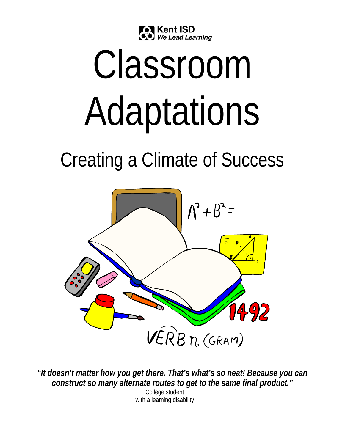

# Classroom Adaptations

# Creating a Climate of Success



*"It doesn't matter how you get there. That's what's so neat! Because you can construct so many alternate routes to get to the same final product."* 

College student with a learning disability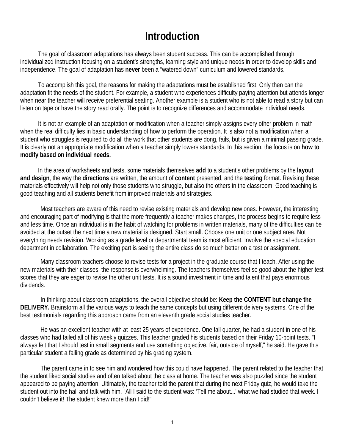# **Introduction**

 The goal of classroom adaptations has always been student success. This can be accomplished through individualized instruction focusing on a student's strengths, learning style and unique needs in order to develop skills and independence. The goal of adaptation has **never** been a "watered down" curriculum and lowered standards.

 To accomplish this goal, the reasons for making the adaptations must be established first. Only then can the adaptation fit the needs of the student. For example, a student who experiences difficulty paying attention but attends longer when near the teacher will receive preferential seating. Another example is a student who is not able to read a story but can listen on tape or have the story read orally. The point is to recognize differences and accommodate individual needs.

 It is not an example of an adaptation or modification when a teacher simply assigns every other problem in math when the real difficulty lies in basic understanding of how to perform the operation. It is also not a modification when a student who struggles is required to do all the work that other students are dong, fails, but is given a minimal passing grade. It is clearly not an appropriate modification when a teacher simply lowers standards. In this section, the focus is on **how to modify based on individual needs.** 

In the area of worksheets and tests, some materials themselves **add** to a student's other problems by the **layout and design**, the way the **directions** are written, the amount of **content** presented, and the **testing** format. Revising these materials effectively will help not only those students who struggle, but also the others in the classroom. Good teaching is good teaching and all students benefit from improved materials and strategies.

Most teachers are aware of this need to revise existing materials and develop new ones. However, the interesting and encouraging part of modifying is that the more frequently a teacher makes changes, the process begins to require less and less time. Once an individual is in the habit of watching for problems in written materials, many of the difficulties can be avoided at the outset the next time a new material is designed. Start small. Choose one unit or one subject area. Not everything needs revision. Working as a grade level or departmental team is most efficient. Involve the special education department in collaboration. The exciting part is seeing the entire class do so much better on a test or assignment.

 Many classroom teachers choose to revise tests for a project in the graduate course that I teach. After using the new materials with their classes, the response is overwhelming. The teachers themselves feel so good about the higher test scores that they are eager to revise the other unit tests. It is a sound investment in time and talent that pays enormous dividends.

 In thinking about classroom adaptations, the overall objective should be: **Keep the CONTENT but change the DELIVERY.** Brainstorm all the various ways to teach the same concepts but using different delivery systems. One of the best testimonials regarding this approach came from an eleventh grade social studies teacher.

 He was an excellent teacher with at least 25 years of experience. One fall quarter, he had a student in one of his classes who had failed all of his weekly quizzes. This teacher graded his students based on their Friday 10-point tests. "I always felt that I should test in small segments and use something objective, fair, outside of myself," he said. He gave this particular student a failing grade as determined by his grading system.

 The parent came in to see him and wondered how this could have happened. The parent related to the teacher that the student liked social studies and often talked about the class at home. The teacher was also puzzled since the student appeared to be paying attention. Ultimately, the teacher told the parent that during the next Friday quiz, he would take the student out into the hall and talk with him. "All I said to the student was: 'Tell me about...' what we had studied that week. I couldn't believe it! The student knew more than I did!"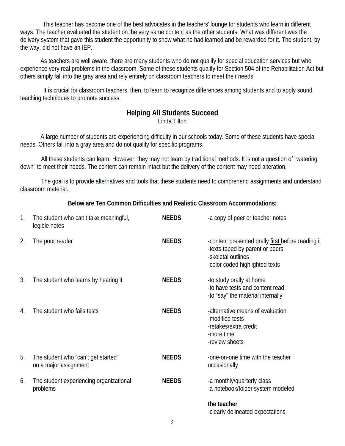This teacher has become one of the best advocates in the teachers' lounge for students who learn in different ways. The teacher evaluated the student on the very same content as the other students. What was different was the delivery system that gave this student the opportunity to show what he had learned and be rewarded for it. The student, by the way, did not have an IEP.

 As teachers are well aware, there are many students who do not qualify for special education services but who experience very real problems in the classroom. Some of these students qualify for Section 504 of the Rehabilitation Act but others simply fall into the gray area and rely entirely on classroom teachers to meet their needs.

It is crucial for classroom teachers, then, to learn to recognize differences among students and to apply sound teaching techniques to promote success.

# **Helping All Students Succeed**

Linda Tilton

A large number of students are experiencing difficulty in our schools today. Some of these students have special needs. Others fall into a gray area and do not qualify for specific programs.

All these students can learn. However, they may not learn by traditional methods. It is not a question of "watering down" to meet their needs. The content can remain intact but the delivery of the content may need alteration.

The goal is to provide alternatives and tools that these students need to comprehend assignments and understand classroom material.

#### **Below are Ten Common Difficulties and Realistic Classroom Accommodations:**

| 1. | The student who can't take meaningful,<br>legible notes      | <b>NEEDS</b> | -a copy of peer or teacher notes                                                                                                             |
|----|--------------------------------------------------------------|--------------|----------------------------------------------------------------------------------------------------------------------------------------------|
| 2. | The poor reader                                              | <b>NEEDS</b> | -content presented orally first before reading it<br>-texts taped by parent or peers<br>-skeletal outlines<br>-color coded highlighted texts |
| 3. | The student who learns by hearing it                         | <b>NEEDS</b> | -to study orally at home<br>-to have tests and content read<br>-to "say" the material internally                                             |
| 4. | The student who fails tests                                  | <b>NEEDS</b> | -alternative means of evaluation<br>-modified tests<br>-retakes/extra credit<br>-more time<br>-review sheets                                 |
| 5. | The student who "can't get started"<br>on a major assignment | <b>NEEDS</b> | -one-on-one time with the teacher<br>occasionally                                                                                            |
| 6. | The student experiencing organizational<br>problems          | <b>NEEDS</b> | -a monthly/quarterly class<br>-a notebook/folder system modeled                                                                              |
|    |                                                              |              | the teacher<br>-clearly delineated expectations                                                                                              |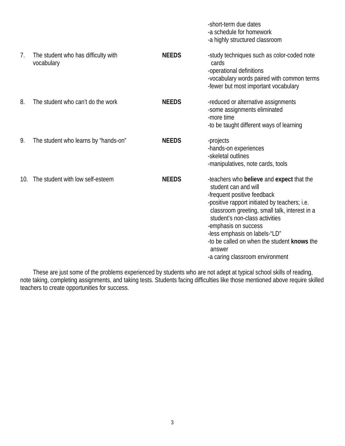|     |                                                   |              | -short-term due dates<br>-a schedule for homework<br>-a highly structured classroom                                                                                                                                                                                                                                                                                                       |
|-----|---------------------------------------------------|--------------|-------------------------------------------------------------------------------------------------------------------------------------------------------------------------------------------------------------------------------------------------------------------------------------------------------------------------------------------------------------------------------------------|
| 7.  | The student who has difficulty with<br>vocabulary | <b>NEEDS</b> | -study techniques such as color-coded note<br>cards<br>-operational definitions<br>-vocabulary words paired with common terms<br>-fewer but most important vocabulary                                                                                                                                                                                                                     |
| 8.  | The student who can't do the work                 | <b>NEEDS</b> | -reduced or alternative assignments<br>-some assignments eliminated<br>-more time<br>-to be taught different ways of learning                                                                                                                                                                                                                                                             |
| 9.  | The student who learns by "hands-on"              | <b>NEEDS</b> | -projects<br>-hands-on experiences<br>-skeletal outlines<br>-manipulatives, note cards, tools                                                                                                                                                                                                                                                                                             |
| 10. | The student with low self-esteem                  | <b>NEEDS</b> | -teachers who believe and expect that the<br>student can and will<br>-frequent positive feedback<br>-positive rapport initiated by teachers; i.e.<br>classroom greeting, small talk, interest in a<br>student's non-class activities<br>-emphasis on success<br>-less emphasis on labels-"LD"<br>-to be called on when the student knows the<br>answer<br>-a caring classroom environment |

 These are just some of the problems experienced by students who are not adept at typical school skills of reading, note taking, completing assignments, and taking tests. Students facing difficulties like those mentioned above require skilled teachers to create opportunities for success.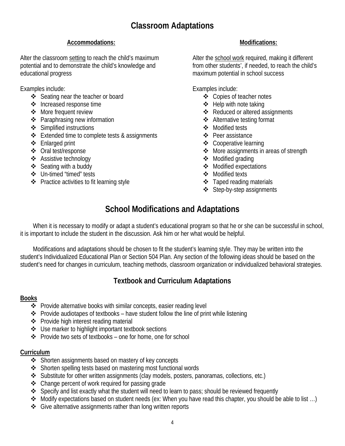#### **Accommodations:**

Alter the classroom setting to reach the child's maximum potential and to demonstrate the child's knowledge and educational progress

Examples include:

- ❖ Seating near the teacher or board
- ❖ Increased response time
- ❖ More frequent review
- ❖ Paraphrasing new information
- ❖ Simplified instructions
- $\triangleleft$  Extended time to complete tests & assignments
- Enlarged print
- Oral test/response
- Assistive technology
- ❖ Seating with a buddy
- Un-timed "timed" tests
- $\div$  Practice activities to fit learning style

### **Modifications:**

Alter the school work required, making it different from other students', if needed, to reach the child's maximum potential in school success

Examples include:

- ❖ Copies of teacher notes
- $\div$  Help with note taking
- ❖ Reduced or altered assignments
- Alternative testing format
- Modified tests
- ❖ Peer assistance
- ❖ Cooperative learning
- ❖ More assignments in areas of strength
- ❖ Modified grading
- Modified expectations
- Modified texts
- $\div$  Taped reading materials
- ❖ Step-by-step assignments

# **School Modifications and Adaptations**

When it is necessary to modify or adapt a student's educational program so that he or she can be successful in school, it is important to include the student in the discussion. Ask him or her what would be helpful.

 Modifications and adaptations should be chosen to fit the student's learning style. They may be written into the student's Individualized Educational Plan or Section 504 Plan. Any section of the following ideas should be based on the student's need for changes in curriculum, teaching methods, classroom organization or individualized behavioral strategies.

# **Textbook and Curriculum Adaptations**

#### **Books**

- Provide alternative books with similar concepts, easier reading level
- $\triangle$  Provide audiotapes of textbooks have student follow the line of print while listening
- ❖ Provide high interest reading material
- ❖ Use marker to highlight important textbook sections
- $\triangle$  Provide two sets of textbooks one for home, one for school

#### **Curriculum**

- ❖ Shorten assignments based on mastery of key concepts
- Shorten spelling tests based on mastering most functional words
- Substitute for other written assignments (clay models, posters, panoramas, collections, etc.)
- $\triangle$  Change percent of work required for passing grade
- Specify and list exactly what the student will need to learn to pass; should be reviewed frequently
- Modify expectations based on student needs (ex: When you have read this chapter, you should be able to list …)
- ❖ Give alternative assignments rather than long written reports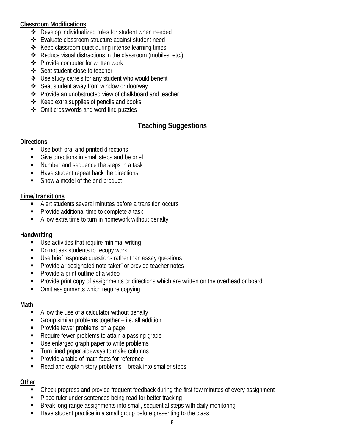#### **Classroom Modifications**

- Develop individualized rules for student when needed
- Evaluate classroom structure against student need
- $\triangle$  Keep classroom quiet during intense learning times
- Reduce visual distractions in the classroom (mobiles, etc.)
- ❖ Provide computer for written work
- ❖ Seat student close to teacher
- Use study carrels for any student who would benefit
- Seat student away from window or doorway
- ❖ Provide an unobstructed view of chalkboard and teacher
- $\triangle$  Keep extra supplies of pencils and books
- ❖ Omit crosswords and word find puzzles

# **Teaching Suggestions**

#### **Directions**

- Use both oral and printed directions
- Give directions in small steps and be brief
- Number and sequence the steps in a task
- Have student repeat back the directions
- Show a model of the end product

#### **Time/Transitions**

- Alert students several minutes before a transition occurs
- Provide additional time to complete a task
- Allow extra time to turn in homework without penalty

#### **Handwriting**

- Use activities that require minimal writing
- Do not ask students to recopy work
- Use brief response questions rather than essay questions
- **Provide a "designated note taker" or provide teacher notes**
- **Provide a print outline of a video**
- **Provide print copy of assignments or directions which are written on the overhead or board**
- Omit assignments which require copying

#### **Math**

- Allow the use of a calculator without penalty
- Group similar problems together i.e. all addition
- Provide fewer problems on a page
- Require fewer problems to attain a passing grade
- Use enlarged graph paper to write problems
- Turn lined paper sideways to make columns
- **Provide a table of math facts for reference**
- Read and explain story problems break into smaller steps

#### **Other**

- **EXECO FIGHTS 2** Check progress and provide frequent feedback during the first few minutes of every assignment
- Place ruler under sentences being read for better tracking
- Break long-range assignments into small, sequential steps with daily monitoring
- Have student practice in a small group before presenting to the class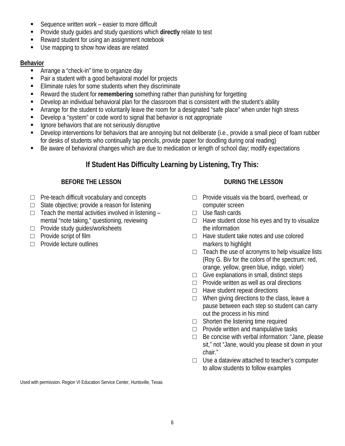- Sequence written work easier to more difficult
- Provide study guides and study questions which **directly** relate to test
- Reward student for using an assignment notebook
- Use mapping to show how ideas are related

#### **Behavior**

- **EXECUTE:** Arrange a "check-in" time to organize day
- Pair a student with a good behavioral model for projects
- Eliminate rules for some students when they discriminate
- Reward the student for **remembering** something rather than punishing for forgetting
- Develop an individual behavioral plan for the classroom that is consistent with the student's ability
- Arrange for the student to voluntarily leave the room for a designated "safe place" when under high stress
- Develop a "system" or code word to signal that behavior is not appropriate
- Ignore behaviors that are not seriously disruptive
- Develop interventions for behaviors that are annoying but not deliberate (i.e., provide a small piece of foam rubber for desks of students who continually tap pencils, provide paper for doodling during oral reading)
- Be aware of behavioral changes which are due to medication or length of school day; modify expectations

# **If Student Has Difficulty Learning by Listening, Try This:**

#### **BEFORE THE LESSON**

- $\Box$  Pre-teach difficult vocabulary and concepts
- $\Box$  State objective; provide a reason for listening
- $\Box$  Teach the mental activities involved in listening  $\Box$ mental "note taking," questioning, reviewing
- □ Provide study guides/worksheets
- □ Provide script of film
- □ Provide lecture outlines

#### **DURING THE LESSON**

- □ Provide visuals via the board, overhead, or computer screen
- □ Use flash cards
- $\Box$  Have student close his eyes and try to visualize the information
- □ Have student take notes and use colored markers to highlight
- $\Box$  Teach the use of acronyms to help visualize lists (Roy G. Biv for the colors of the spectrum: red, orange, yellow, green blue, indigo, violet)
- $\Box$  Give explanations in small, distinct steps
- □ Provide written as well as oral directions
- $\Box$  Have student repeat directions
- $\Box$  When giving directions to the class, leave a pause between each step so student can carry out the process in his mind
- $\Box$  Shorten the listening time required
- □ Provide written and manipulative tasks
- $\Box$  Be concise with verbal information: "Jane, please sit," not "Jane, would you please sit down in your chair."
- $\Box$  Use a dataview attached to teacher's computer to allow students to follow examples

Used with permission. Region VI Education Service Center, Huntsville, Texas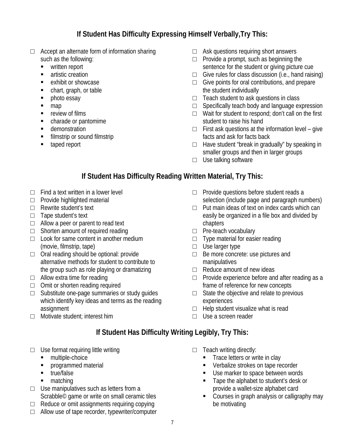# **If Student Has Difficulty Expressing Himself Verbally,Try This:**

- $\Box$  Accept an alternate form of information sharing such as the following:
	- **•** written report
	- **u** artistic creation
	- **EXHIBIO EXHIBIO** exhibit or showcase
	- chart, graph, or table
	- **•** photo essay
	- map
	- **•** review of films
	- charade or pantomime
	- **demonstration**
	- **filmstrip or sound filmstrip**
	- **u** taped report
- □ Ask questions requiring short answers
- $\Box$  Provide a prompt, such as beginning the sentence for the student or giving picture cue
- $\Box$  Give rules for class discussion (i.e., hand raising)
- $\Box$  Give points for oral contributions, and prepare the student individually
- □ Teach student to ask questions in class
- $\Box$  Specifically teach body and language expression
- □ Wait for student to respond; don't call on the first student to raise his hand
- $\Box$  First ask questions at the information level give facts and ask for facts back
- $\Box$  Have student "break in gradually" by speaking in smaller groups and then in larger groups
- □ Use talking software

# **If Student Has Difficulty Reading Written Material, Try This:**

- $\Box$  Find a text written in a lower level
- □ Provide highlighted material
- □ Rewrite student's text
- □ Tape student's text
- $\Box$  Allow a peer or parent to read text
- $\Box$  Shorten amount of required reading
- $\Box$  Look for same content in another medium (movie, filmstrip, tape)
- □ Oral reading should be optional: provide alternative methods for student to contribute to the group such as role playing or dramatizing
- $\Box$  Allow extra time for reading
- □ Omit or shorten reading required
- □ Substitute one-page summaries or study guides which identify key ideas and terms as the reading assignment
- □ Motivate student: interest him
- □ Provide questions before student reads a selection (include page and paragraph numbers)
- □ Put main ideas of text on index cards which can easily be organized in a file box and divided by chapters
- □ Pre-teach vocabulary
- □ Type material for easier reading
- □ Use larger type
- □ Be more concrete: use pictures and manipulatives
- $\Box$  Reduce amount of new ideas
- □ Provide experience before and after reading as a frame of reference for new concepts
- $\Box$  State the objective and relate to previous experiences
- $\Box$  Help student visualize what is read
- □ Use a screen reader

# **If Student Has Difficulty Writing Legibly, Try This:**

- $\Box$  Use format requiring little writing
	- multiple-choice
	- **Programmed material**
	- $\blacksquare$  true/false
	- matching
- $\Box$  Use manipulatives such as letters from a Scrabble© game or write on small ceramic tiles
- $\Box$  Reduce or omit assignments requiring copying
- $\Box$  Allow use of tape recorder, typewriter/computer
- □ Teach writing directly:
	- **Trace letters or write in clay**
	- **Verbalize strokes on tape recorder**
	- Use marker to space between words
	- Tape the alphabet to student's desk or provide a wallet-size alphabet card
	- **Courses in graph analysis or calligraphy may** be motivating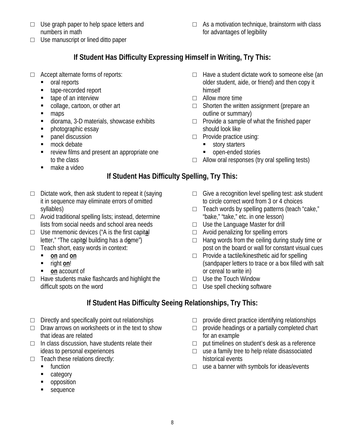- □ Use graph paper to help space letters and numbers in math
- $\Box$  Use manuscript or lined ditto paper

 $\Box$  As a motivation technique, brainstorm with class for advantages of legibility

# **If Student Has Difficulty Expressing Himself in Writing, Try This:**

- □ Accept alternate forms of reports:
	- **oral reports**
	- tape-recorded report
	- tape of an interview
	- collage, cartoon, or other art
	- maps
	- diorama, 3-D materials, showcase exhibits
	- **•** photographic essay
	- **panel discussion**
	- mock debate
	- **Fig. 2** review films and present an appropriate one to the class
	- make a video

# **If Student Has Difficulty Spelling, Try This:**

- $\Box$  Dictate work, then ask student to repeat it (saying it in sequence may eliminate errors of omitted syllables)
- $\Box$  Avoid traditional spelling lists; instead, determine lists from social needs and school area needs
- □ Use mnemonic devices ("A is the first capit**a**l letter," "The capit**o**l building has a d**o**me")
- □ Teach short, easy words in context:
	- **on** and **on**
	- right **on**!
	- **on** account of
- $\Box$  Have students make flashcards and highlight the difficult spots on the word

# **If Student Has Difficulty Seeing Relationships, Try This:**

- $\Box$  Directly and specifically point out relationships
- $\Box$  Draw arrows on worksheets or in the text to show that ideas are related
- $\Box$  In class discussion, have students relate their ideas to personal experiences
- $\Box$  Teach these relations directly:
	- **function**
	- **Exercise Line**
	- **•** opposition
	- **sequence**
- $\Box$  Have a student dictate work to someone else (an older student, aide, or friend) and then copy it himself
- □ Allow more time
- $\Box$  Shorten the written assignment (prepare an outline or summary)
- □ Provide a sample of what the finished paper should look like
- □ Provide practice using:
	- **story starters**
	- open-ended stories
- □ Allow oral responses (try oral spelling tests)
- $\Box$  Give a recognition level spelling test: ask student to circle correct word from 3 or 4 choices
- $\Box$  Teach words by spelling patterns (teach "cake," "bake," "take," etc. in one lesson)
- □ Use the Language Master for drill
- □ Avoid penalizing for spelling errors
- $\Box$  Hang words from the ceiling during study time or post on the board or wall for constant visual cues
- □ Provide a tactile/kinesthetic aid for spelling (sandpaper letters to trace or a box filled with salt or cereal to write in)
- □ Use the Touch Window
- $\Box$  Use spell checking software
- - $\Box$  provide direct practice identifying relationships
	- $\Box$  provide headings or a partially completed chart for an example
	- $\Box$  put timelines on student's desk as a reference
	- □ use a family tree to help relate disassociated historical events
	- $\Box$  use a banner with symbols for ideas/events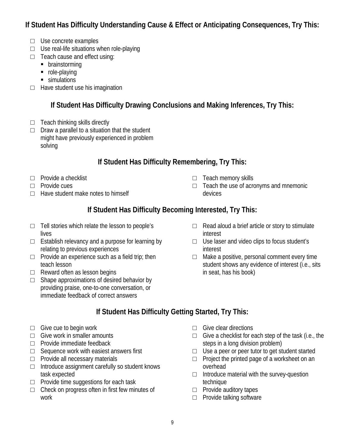# **If Student Has Difficulty Understanding Cause & Effect or Anticipating Consequences, Try This:**

- □ Use concrete examples
- $\Box$  Use real-life situations when role-playing
- □ Teach cause and effect using:
	- **•** brainstorming
	- role-playing
	- simulations
- $\Box$  Have student use his imagination

# **If Student Has Difficulty Drawing Conclusions and Making Inferences, Try This:**

- $\Box$  Teach thinking skills directly
- $\Box$  Draw a parallel to a situation that the student might have previously experienced in problem solving

# **If Student Has Difficulty Remembering, Try This:**

- □ Provide a checklist
- □ Provide cues
- $\Box$  Have student make notes to himself
- □ Teach memory skills
- $\Box$  Teach the use of acronyms and mnemonic devices

# **If Student Has Difficulty Becoming Interested, Try This:**

- $\Box$  Tell stories which relate the lesson to people's lives
- $\Box$  Establish relevancy and a purpose for learning by relating to previous experiences
- $\Box$  Provide an experience such as a field trip; then teach lesson
- $\Box$  Reward often as lesson begins
- $\Box$  Shape approximations of desired behavior by providing praise, one-to-one conversation, or immediate feedback of correct answers
- $\Box$  Read aloud a brief article or story to stimulate interest
- □ Use laser and video clips to focus student's interest
- $\Box$  Make a positive, personal comment every time student shows any evidence of interest (i.e., sits in seat, has his book)

# **If Student Has Difficulty Getting Started, Try This:**

- $\Box$  Give cue to begin work
- $\Box$  Give work in smaller amounts
- □ Provide immediate feedback
- $\Box$  Sequence work with easiest answers first
- □ Provide all necessary materials
- $\Box$  Introduce assignment carefully so student knows task expected
- $\Box$  Provide time suggestions for each task
- $\Box$  Check on progress often in first few minutes of work
- $\Box$  Give clear directions
- $\Box$  Give a checklist for each step of the task (i.e., the steps in a long division problem)
- $\Box$  Use a peer or peer tutor to get student started
- $\Box$  Project the printed page of a worksheet on an overhead
- $\Box$  Introduce material with the survey-question technique
- □ Provide auditory tapes
- □ Provide talking software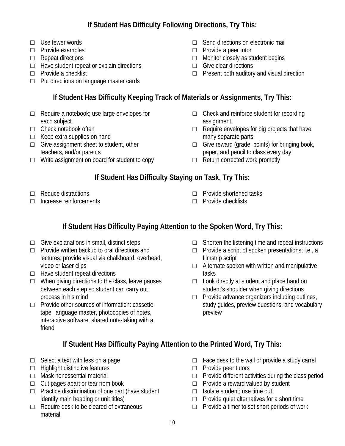# **If Student Has Difficulty Following Directions, Try This:**

- □ Use fewer words
- □ Provide examples
- □ Repeat directions
- $\Box$  Have student repeat or explain directions
- □ Provide a checklist
- □ Put directions on language master cards
- □ Send directions on electronic mail
- □ Provide a peer tutor
- □ Monitor closely as student begins
- $\Box$  Give clear directions
- □ Present both auditory and visual direction

# **If Student Has Difficulty Keeping Track of Materials or Assignments, Try This:**

- □ Require a notebook; use large envelopes for each subject
- □ Check notebook often
- □ Keep extra supplies on hand
- □ Give assignment sheet to student, other teachers, and/or parents
- $\Box$  Write assignment on board for student to copy
- $\Box$  Check and reinforce student for recording assignment
- $\Box$  Require envelopes for big projects that have many separate parts
- $\Box$  Give reward (grade, points) for bringing book, paper, and pencil to class every day
- $\Box$  Return corrected work promptly

# **If Student Has Difficulty Staying on Task, Try This:**

- □ Reduce distractions
- □ Increase reinforcements
- □ Provide shortened tasks
- □ Provide checklists

# **If Student Has Difficulty Paying Attention to the Spoken Word, Try This:**

- $\Box$  Give explanations in small, distinct steps
- $\Box$  Provide written backup to oral directions and lectures; provide visual via chalkboard, overhead, video or laser clips
- □ Have student repeat directions
- $\Box$  When giving directions to the class, leave pauses between each step so student can carry out process in his mind
- □ Provide other sources of information: cassette tape, language master, photocopies of notes, interactive software, shared note-taking with a friend
- $\Box$  Shorten the listening time and repeat instructions
- $\Box$  Provide a script of spoken presentations; i.e., a filmstrip script
- $\Box$  Alternate spoken with written and manipulative tasks
- $\Box$  Look directly at student and place hand on student's shoulder when giving directions
- $\Box$  Provide advance organizers including outlines, study guides, preview questions, and vocabulary preview

# **If Student Has Difficulty Paying Attention to the Printed Word, Try This:**

- $\Box$  Select a text with less on a page
- □ Highlight distinctive features
- □ Mask nonessential material
- $\Box$  Cut pages apart or tear from book
- $\Box$  Practice discrimination of one part (have student identify main heading or unit titles)
- $\Box$  Require desk to be cleared of extraneous material
- $\Box$  Face desk to the wall or provide a study carrel
- □ Provide peer tutors
- $\Box$  Provide different activities during the class period
- □ Provide a reward valued by student
- □ Isolate student; use time out
- $\Box$  Provide quiet alternatives for a short time
- □ Provide a timer to set short periods of work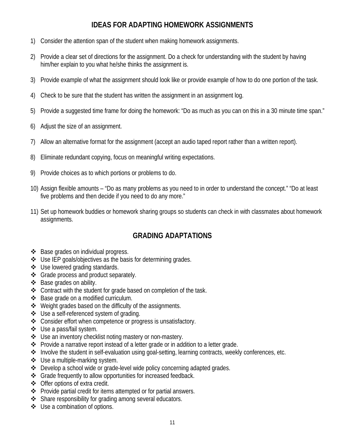## **IDEAS FOR ADAPTING HOMEWORK ASSIGNMENTS**

- 1) Consider the attention span of the student when making homework assignments.
- 2) Provide a clear set of directions for the assignment. Do a check for understanding with the student by having him/her explain to you what he/she thinks the assignment is.
- 3) Provide example of what the assignment should look like or provide example of how to do one portion of the task.
- 4) Check to be sure that the student has written the assignment in an assignment log.
- 5) Provide a suggested time frame for doing the homework: "Do as much as you can on this in a 30 minute time span."
- 6) Adjust the size of an assignment.
- 7) Allow an alternative format for the assignment (accept an audio taped report rather than a written report).
- 8) Eliminate redundant copying, focus on meaningful writing expectations.
- 9) Provide choices as to which portions or problems to do.
- 10) Assign flexible amounts "Do as many problems as you need to in order to understand the concept." "Do at least five problems and then decide if you need to do any more."
- 11) Set up homework buddies or homework sharing groups so students can check in with classmates about homework assignments.

# **GRADING ADAPTATIONS**

- ❖ Base grades on individual progress.
- $\triangleleft$  Use IEP goals/objectives as the basis for determining grades.
- ❖ Use lowered grading standards.
- ❖ Grade process and product separately.
- ❖ Base grades on ability.
- Contract with the student for grade based on completion of the task.
- ❖ Base grade on a modified curriculum.
- ❖ Weight grades based on the difficulty of the assignments.
- Use a self-referenced system of grading.
- Consider effort when competence or progress is unsatisfactory.
- Use a pass/fail system.
- ❖ Use an inventory checklist noting mastery or non-mastery.
- Provide a narrative report instead of a letter grade or in addition to a letter grade.
- ◆ Involve the student in self-evaluation using goal-setting, learning contracts, weekly conferences, etc.
- ❖ Use a multiple-marking system.
- Develop a school wide or grade-level wide policy concerning adapted grades.
- Grade frequently to allow opportunities for increased feedback.
- Offer options of extra credit.
- Provide partial credit for items attempted or for partial answers.
- ❖ Share responsibility for grading among several educators.
- Use a combination of options.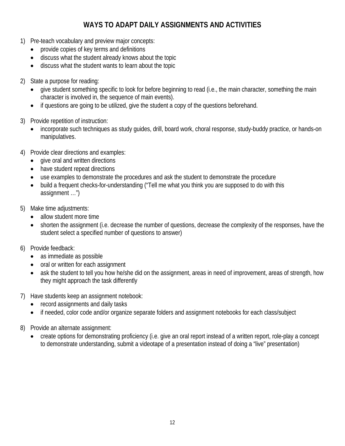# **WAYS TO ADAPT DAILY ASSIGNMENTS AND ACTIVITIES**

- 1) Pre-teach vocabulary and preview major concepts:
	- provide copies of key terms and definitions
	- discuss what the student already knows about the topic
	- discuss what the student wants to learn about the topic
- 2) State a purpose for reading:
	- give student something specific to look for before beginning to read (i.e., the main character, something the main character is involved in, the sequence of main events).
	- if questions are going to be utilized, give the student a copy of the questions beforehand.
- 3) Provide repetition of instruction:
	- incorporate such techniques as study guides, drill, board work, choral response, study-buddy practice, or hands-on manipulatives.
- 4) Provide clear directions and examples:
	- give oral and written directions
	- have student repeat directions
	- use examples to demonstrate the procedures and ask the student to demonstrate the procedure
	- build a frequent checks-for-understanding ("Tell me what you think you are supposed to do with this assignment …")
- 5) Make time adjustments:
	- allow student more time
	- shorten the assignment (i.e. decrease the number of questions, decrease the complexity of the responses, have the student select a specified number of questions to answer)
- 6) Provide feedback:
	- as immediate as possible
	- oral or written for each assignment
	- ask the student to tell you how he/she did on the assignment, areas in need of improvement, areas of strength, how they might approach the task differently
- 7) Have students keep an assignment notebook:
	- record assignments and daily tasks
	- if needed, color code and/or organize separate folders and assignment notebooks for each class/subject
- 8) Provide an alternate assignment:
	- create options for demonstrating proficiency (i.e. give an oral report instead of a written report, role-play a concept to demonstrate understanding, submit a videotape of a presentation instead of doing a "live" presentation)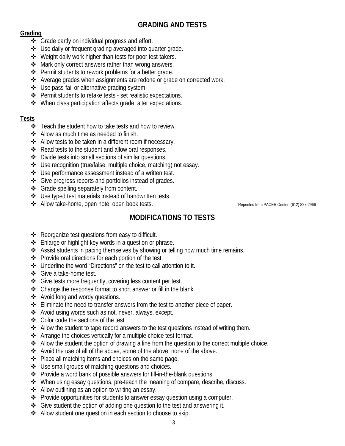# **GRADING AND TESTS**

#### **Grading**

- ❖ Grade partly on individual progress and effort.
- Use daily or frequent grading averaged into quarter grade.
- ❖ Weight daily work higher than tests for poor test-takers.
- ❖ Mark only correct answers rather than wrong answers.
- ❖ Permit students to rework problems for a better grade.
- Average grades when assignments are redone or grade on corrected work.
- Use pass-fail or alternative grading system.
- $\clubsuit$  Permit students to retake tests set realistic expectations.
- $\triangleleft$  When class participation affects grade, alter expectations.

#### **Tests**

- $\div$  Teach the student how to take tests and how to review.
- ❖ Allow as much time as needed to finish.
- ❖ Allow tests to be taken in a different room if necessary.
- $\triangle$  Read tests to the student and allow oral responses.
- Divide tests into small sections of similar questions.
- Use recognition (true/false, multiple choice, matching) not essay.
- ❖ Use performance assessment instead of a written test.
- ❖ Give progress reports and portfolios instead of grades.
- ❖ Grade spelling separately from content.
- ❖ Use typed test materials instead of handwritten tests.
- ◆ Allow take-home, open note, open book tests. Reprinted from PACER Center, (612) 827-2966

# **MODIFICATIONS TO TESTS**

- Reorganize test questions from easy to difficult.
- $\triangle$  Enlarge or highlight key words in a question or phrase.
- Assist students in pacing themselves by showing or telling how much time remains.
- ❖ Provide oral directions for each portion of the test.
- Underline the word "Directions" on the test to call attention to it.
- Give a take-home test.
- ❖ Give tests more frequently, covering less content per test.
- Change the response format to short answer or fill in the blank.
- Avoid long and wordy questions.
- $\triangle$  Eliminate the need to transfer answers from the test to another piece of paper.
- ❖ Avoid using words such as not, never, always, except.
- Color code the sections of the test
- $\triangle$  Allow the student to tape record answers to the test questions instead of writing them.
- Arrange the choices vertically for a multiple choice test format.
- ◆ Allow the student the option of drawing a line from the question to the correct multiple choice.
- Avoid the use of all of the above, some of the above, none of the above.
- $\triangle$  Place all matching items and choices on the same page.
- $\triangleleft$  Use small groups of matching questions and choices.
- Provide a word bank of possible answers for fill-in-the-blank questions.
- When using essay questions, pre-teach the meaning of compare, describe, discuss.
- ❖ Allow outlining as an option to writing an essay.
- Provide opportunities for students to answer essay question using a computer.
- Give student the option of adding one question to the test and answering it.
- Allow student one question in each section to choose to skip.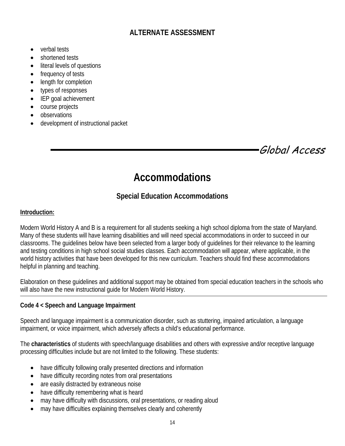# **ALTERNATE ASSESSMENT**

- verbal tests
- shortened tests
- literal levels of questions
- frequency of tests
- length for completion
- types of responses
- IEP goal achievement
- course projects
- observations
- development of instructional packet

Global Access

# **Accommodations**

# **Special Education Accommodations**

#### **Introduction:**

Modern World History A and B is a requirement for all students seeking a high school diploma from the state of Maryland. Many of these students will have learning disabilities and will need special accommodations in order to succeed in our classrooms. The guidelines below have been selected from a larger body of guidelines for their relevance to the learning and testing conditions in high school social studies classes. Each accommodation will appear, where applicable, in the world history activities that have been developed for this new curriculum. Teachers should find these accommodations helpful in planning and teaching.

Elaboration on these guidelines and additional support may be obtained from special education teachers in the schools who will also have the new instructional guide for Modern World History.

#### **Code 4 < Speech and Language Impairment**

Speech and language impairment is a communication disorder, such as stuttering, impaired articulation, a language impairment, or voice impairment, which adversely affects a child's educational performance.

The **characteristics** of students with speech/language disabilities and others with expressive and/or receptive language processing difficulties include but are not limited to the following. These students:

- have difficulty following orally presented directions and information
- have difficulty recording notes from oral presentations
- are easily distracted by extraneous noise
- have difficulty remembering what is heard
- may have difficulty with discussions, oral presentations, or reading aloud
- may have difficulties explaining themselves clearly and coherently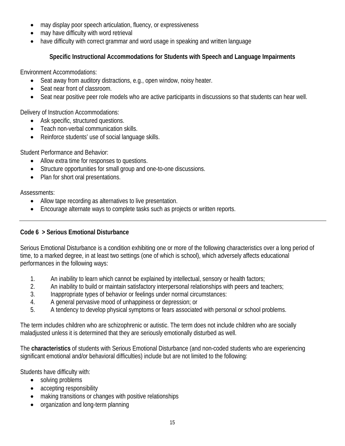- may display poor speech articulation, fluency, or expressiveness
- may have difficulty with word retrieval
- have difficulty with correct grammar and word usage in speaking and written language

#### **Specific Instructional Accommodations for Students with Speech and Language Impairments**

Environment Accommodations:

- Seat away from auditory distractions, e.g., open window, noisy heater.
- Seat near front of classroom.
- Seat near positive peer role models who are active participants in discussions so that students can hear well.

Delivery of Instruction Accommodations:

- Ask specific, structured questions.
- Teach non-verbal communication skills.
- Reinforce students' use of social language skills.

Student Performance and Behavior:

- Allow extra time for responses to questions.
- Structure opportunities for small group and one-to-one discussions.
- Plan for short oral presentations.

Assessments:

- Allow tape recording as alternatives to live presentation.
- Encourage alternate ways to complete tasks such as projects or written reports.

#### **Code 6 > Serious Emotional Disturbance**

Serious Emotional Disturbance is a condition exhibiting one or more of the following characteristics over a long period of time, to a marked degree, in at least two settings (one of which is school), which adversely affects educational performances in the following ways:

- 1. An inability to learn which cannot be explained by intellectual, sensory or health factors;
- 2. An inability to build or maintain satisfactory interpersonal relationships with peers and teachers;
- 3. Inappropriate types of behavior or feelings under normal circumstances:
- 4. A general pervasive mood of unhappiness or depression; or
- 5. A tendency to develop physical symptoms or fears associated with personal or school problems.

The term includes children who are schizophrenic or autistic. The term does not include children who are socially maladjusted unless it is determined that they are seriously emotionally disturbed as well.

The **characteristics** of students with Serious Emotional Disturbance (and non-coded students who are experiencing significant emotional and/or behavioral difficulties) include but are not limited to the following:

Students have difficulty with:

- solving problems
- accepting responsibility
- making transitions or changes with positive relationships
- organization and long-term planning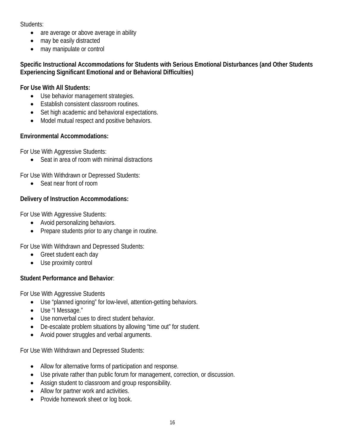Students:

- are average or above average in ability
- may be easily distracted
- may manipulate or control

#### **Specific Instructional Accommodations for Students with Serious Emotional Disturbances (and Other Students Experiencing Significant Emotional and or Behavioral Difficulties)**

#### **For Use With All Students:**

- Use behavior management strategies.
- Establish consistent classroom routines.
- Set high academic and behavioral expectations.
- Model mutual respect and positive behaviors.

#### **Environmental Accommodations:**

For Use With Aggressive Students:

• Seat in area of room with minimal distractions

For Use With Withdrawn or Depressed Students:

• Seat near front of room

#### **Delivery of Instruction Accommodations:**

For Use With Aggressive Students:

- Avoid personalizing behaviors.
- Prepare students prior to any change in routine.

For Use With Withdrawn and Depressed Students:

- Greet student each day
- Use proximity control

#### **Student Performance and Behavior**:

For Use With Aggressive Students

- Use "planned ignoring" for low-level, attention-getting behaviors.
- Use "I Message."
- Use nonverbal cues to direct student behavior.
- De-escalate problem situations by allowing "time out" for student.
- Avoid power struggles and verbal arguments.

For Use With Withdrawn and Depressed Students:

- Allow for alternative forms of participation and response.
- Use private rather than public forum for management, correction, or discussion.
- Assign student to classroom and group responsibility.
- Allow for partner work and activities.
- Provide homework sheet or log book.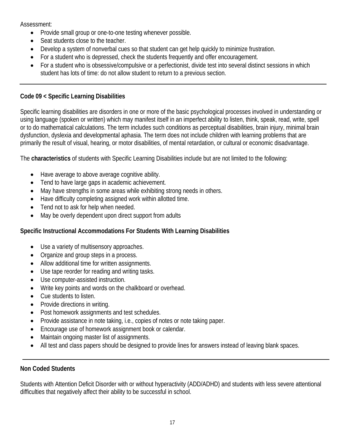Assessment:

- Provide small group or one-to-one testing whenever possible.
- Seat students close to the teacher.
- Develop a system of nonverbal cues so that student can get help quickly to minimize frustration.
- For a student who is depressed, check the students frequently and offer encouragement.
- For a student who is obsessive/compulsive or a perfectionist, divide test into several distinct sessions in which student has lots of time: do not allow student to return to a previous section.

#### **Code 09 < Specific Learning Disabilities**

Specific learning disabilities are disorders in one or more of the basic psychological processes involved in understanding or using language (spoken or written) which may manifest itself in an imperfect ability to listen, think, speak, read, write, spell or to do mathematical calculations. The term includes such conditions as perceptual disabilities, brain injury, minimal brain dysfunction, dyslexia and developmental aphasia. The term does not include children with learning problems that are primarily the result of visual, hearing, or motor disabilities, of mental retardation, or cultural or economic disadvantage.

The **characteristics** of students with Specific Learning Disabilities include but are not limited to the following:

- Have average to above average cognitive ability.
- Tend to have large gaps in academic achievement.
- May have strengths in some areas while exhibiting strong needs in others.
- Have difficulty completing assigned work within allotted time.
- Tend not to ask for help when needed.
- May be overly dependent upon direct support from adults

#### **Specific Instructional Accommodations For Students With Learning Disabilities**

- Use a variety of multisensory approaches.
- Organize and group steps in a process.
- Allow additional time for written assignments.
- Use tape reorder for reading and writing tasks.
- Use computer-assisted instruction.
- Write key points and words on the chalkboard or overhead.
- Cue students to listen.
- Provide directions in writing.
- Post homework assignments and test schedules.
- Provide assistance in note taking, i.e., copies of notes or note taking paper.
- Encourage use of homework assignment book or calendar.
- Maintain ongoing master list of assignments.
- All test and class papers should be designed to provide lines for answers instead of leaving blank spaces.

#### **Non Coded Students**

Students with Attention Deficit Disorder with or without hyperactivity (ADD/ADHD) and students with less severe attentional difficulties that negatively affect their ability to be successful in school.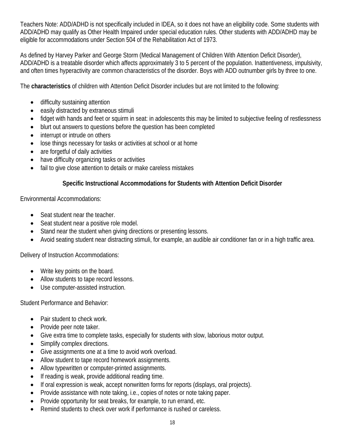Teachers Note: ADD/ADHD is not specifically included in IDEA, so it does not have an eligibility code. Some students with ADD/ADHD may qualify as Other Health Impaired under special education rules. Other students with ADD/ADHD may be eligible for accommodations under Section 504 of the Rehabilitation Act of 1973.

As defined by Harvey Parker and George Storm (Medical Management of Children With Attention Deficit Disorder), ADD/ADHD is a treatable disorder which affects approximately 3 to 5 percent of the population. Inattentiveness, impulsivity, and often times hyperactivity are common characteristics of the disorder. Boys with ADD outnumber girls by three to one.

The **characteristics** of children with Attention Deficit Disorder includes but are not limited to the following:

- difficulty sustaining attention
- easily distracted by extraneous stimuli
- fidget with hands and feet or squirm in seat: in adolescents this may be limited to subjective feeling of restlessness
- blurt out answers to questions before the question has been completed
- interrupt or intrude on others
- lose things necessary for tasks or activities at school or at home
- are forgetful of daily activities
- have difficulty organizing tasks or activities
- fail to give close attention to details or make careless mistakes

#### **Specific Instructional Accommodations for Students with Attention Deficit Disorder**

Environmental Accommodations:

- Seat student near the teacher.
- Seat student near a positive role model.
- Stand near the student when giving directions or presenting lessons.
- Avoid seating student near distracting stimuli, for example, an audible air conditioner fan or in a high traffic area.

Delivery of Instruction Accommodations:

- Write key points on the board.
- Allow students to tape record lessons.
- Use computer-assisted instruction.

Student Performance and Behavior:

- Pair student to check work.
- Provide peer note taker.
- Give extra time to complete tasks, especially for students with slow, laborious motor output.
- Simplify complex directions.
- Give assignments one at a time to avoid work overload.
- Allow student to tape record homework assignments.
- Allow typewritten or computer-printed assignments.
- If reading is weak, provide additional reading time.
- If oral expression is weak, accept nonwritten forms for reports (displays, oral projects).
- Provide assistance with note taking, i.e., copies of notes or note taking paper.
- Provide opportunity for seat breaks, for example, to run errand, etc.
- Remind students to check over work if performance is rushed or careless.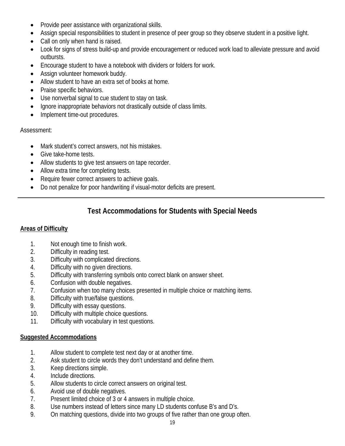- Provide peer assistance with organizational skills.
- Assign special responsibilities to student in presence of peer group so they observe student in a positive light.
- Call on only when hand is raised.
- Look for signs of stress build-up and provide encouragement or reduced work load to alleviate pressure and avoid outbursts.
- Encourage student to have a notebook with dividers or folders for work.
- Assign volunteer homework buddy.
- Allow student to have an extra set of books at home.
- Praise specific behaviors.
- Use nonverbal signal to cue student to stay on task.
- Ignore inappropriate behaviors not drastically outside of class limits.
- Implement time-out procedures.

#### Assessment:

- Mark student's correct answers, not his mistakes.
- Give take-home tests.
- Allow students to give test answers on tape recorder.
- Allow extra time for completing tests.
- Require fewer correct answers to achieve goals.
- Do not penalize for poor handwriting if visual-motor deficits are present.

# **Test Accommodations for Students with Special Needs**

#### **Areas of Difficulty**

- 1. Not enough time to finish work.
- 2. Difficulty in reading test.
- 3. Difficulty with complicated directions.
- 4. Difficulty with no given directions.
- 5. Difficulty with transferring symbols onto correct blank on answer sheet.
- 6. Confusion with double negatives.
- 7. Confusion when too many choices presented in multiple choice or matching items.
- 8. Difficulty with true/false questions.
- 9. Difficulty with essay questions.
- 10. Difficulty with multiple choice questions.
- 11. Difficulty with vocabulary in test questions.

#### **Suggested Accommodations**

- 1. Allow student to complete test next day or at another time.
- 2. Ask student to circle words they don't understand and define them.
- 3. Keep directions simple.
- 4. Include directions.
- 5. Allow students to circle correct answers on original test.
- 6. Avoid use of double negatives.
- 7. Present limited choice of 3 or 4 answers in multiple choice.
- 8. Use numbers instead of letters since many LD students confuse B's and D's.
- 9. On matching questions, divide into two groups of five rather than one group often.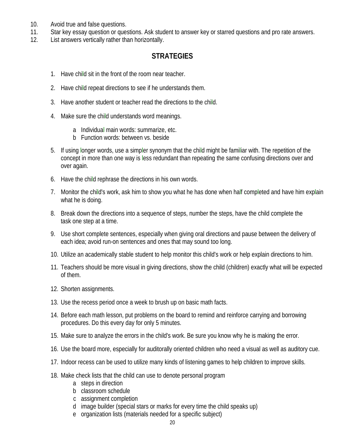- 10. Avoid true and false questions.
- 11. Star key essay question or questions. Ask student to answer key or starred questions and pro rate answers.
- 12. List answers vertically rather than horizontally.

#### **STRATEGIES**

- 1. Have child sit in the front of the room near teacher.
- 2. Have child repeat directions to see if he understands them.
- 3. Have another student or teacher read the directions to the child.
- 4. Make sure the child understands word meanings.
	- a Individual main words: summarize, etc.
	- b Function words: between vs. beside
- 5. If using longer words, use a simpler synonym that the child might be familiar with. The repetition of the concept in more than one way is less redundant than repeating the same confusing directions over and over again.
- 6. Have the child rephrase the directions in his own words.
- 7. Monitor the child's work, ask him to show you what he has done when half completed and have him explain what he is doing.
- 8. Break down the directions into a sequence of steps, number the steps, have the child complete the task one step at a time.
- 9. Use short complete sentences, especially when giving oral directions and pause between the delivery of each idea; avoid run-on sentences and ones that may sound too long.
- 10. Utilize an academically stable student to help monitor this child's work or help explain directions to him.
- 11. Teachers should be more visual in giving directions, show the child (children) exactly what will be expected of them.
- 12. Shorten assignments.
- 13. Use the recess period once a week to brush up on basic math facts.
- 14. Before each math lesson, put problems on the board to remind and reinforce carrying and borrowing procedures. Do this every day for only 5 minutes.
- 15. Make sure to analyze the errors in the child's work. Be sure you know why he is making the error.
- 16. Use the board more, especially for auditorally oriented children who need a visual as well as auditory cue.
- 17. Indoor recess can be used to utilize many kinds of listening games to help children to improve skills.
- 18. Make check lists that the child can use to denote personal program
	- a steps in direction
	- b classroom schedule
	- c assignment completion
	- d image builder (special stars or marks for every time the child speaks up)
	- e organization lists (materials needed for a specific subject)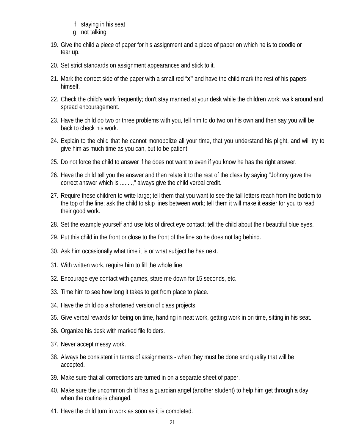- f staying in his seat
- g not talking
- 19. Give the child a piece of paper for his assignment and a piece of paper on which he is to doodle or tear up.
- 20. Set strict standards on assignment appearances and stick to it.
- 21. Mark the correct side of the paper with a small red "**x"** and have the child mark the rest of his papers himself.
- 22. Check the child's work frequently; don't stay manned at your desk while the children work; walk around and spread encouragement.
- 23. Have the child do two or three problems with you, tell him to do two on his own and then say you will be back to check his work.
- 24. Explain to the child that he cannot monopolize all your time, that you understand his plight, and will try to give him as much time as you can, but to be patient.
- 25. Do not force the child to answer if he does not want to even if you know he has the right answer.
- 26. Have the child tell you the answer and then relate it to the rest of the class by saying "Johnny gave the correct answer which is ........," always give the child verbal credit.
- 27. Require these children to write large; tell them that you want to see the tall letters reach from the bottom to the top of the line; ask the child to skip lines between work; tell them it will make it easier for you to read their good work.
- 28. Set the example yourself and use lots of direct eye contact; tell the child about their beautiful blue eyes.
- 29. Put this child in the front or close to the front of the line so he does not lag behind.
- 30. Ask him occasionally what time it is or what subject he has next.
- 31. With written work, require him to fill the whole line.
- 32. Encourage eye contact with games, stare me down for 15 seconds, etc.
- 33. Time him to see how long it takes to get from place to place.
- 34. Have the child do a shortened version of class projects.
- 35. Give verbal rewards for being on time, handing in neat work, getting work in on time, sitting in his seat.
- 36. Organize his desk with marked file folders.
- 37. Never accept messy work.
- 38. Always be consistent in terms of assignments when they must be done and quality that will be accepted.
- 39. Make sure that all corrections are turned in on a separate sheet of paper.
- 40. Make sure the uncommon child has a guardian angel (another student) to help him get through a day when the routine is changed.
- 41. Have the child turn in work as soon as it is completed.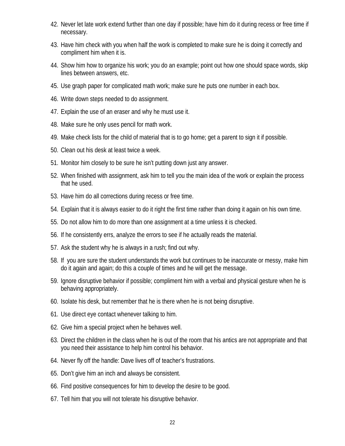- 42. Never let late work extend further than one day if possible; have him do it during recess or free time if necessary.
- 43. Have him check with you when half the work is completed to make sure he is doing it correctly and compliment him when it is.
- 44. Show him how to organize his work; you do an example; point out how one should space words, skip lines between answers, etc.
- 45. Use graph paper for complicated math work; make sure he puts one number in each box.
- 46. Write down steps needed to do assignment.
- 47. Explain the use of an eraser and why he must use it.
- 48. Make sure he only uses pencil for math work.
- 49. Make check lists for the child of material that is to go home; get a parent to sign it if possible.
- 50. Clean out his desk at least twice a week.
- 51. Monitor him closely to be sure he isn't putting down just any answer.
- 52. When finished with assignment, ask him to tell you the main idea of the work or explain the process that he used.
- 53. Have him do all corrections during recess or free time.
- 54. Explain that it is always easier to do it right the first time rather than doing it again on his own time.
- 55. Do not allow him to do more than one assignment at a time unless it is checked.
- 56. If he consistently errs, analyze the errors to see if he actually reads the material.
- 57. Ask the student why he is always in a rush; find out why.
- 58. If you are sure the student understands the work but continues to be inaccurate or messy, make him do it again and again; do this a couple of times and he will get the message.
- 59. Ignore disruptive behavior if possible; compliment him with a verbal and physical gesture when he is behaving appropriately.
- 60. Isolate his desk, but remember that he is there when he is not being disruptive.
- 61. Use direct eye contact whenever talking to him.
- 62. Give him a special project when he behaves well.
- 63. Direct the children in the class when he is out of the room that his antics are not appropriate and that you need their assistance to help him control his behavior.
- 64. Never fly off the handle: Dave lives off of teacher's frustrations.
- 65. Don't give him an inch and always be consistent.
- 66. Find positive consequences for him to develop the desire to be good.
- 67. Tell him that you will not tolerate his disruptive behavior.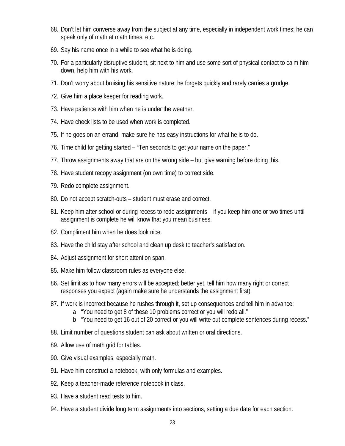- 68. Don't let him converse away from the subject at any time, especially in independent work times; he can speak only of math at math times, etc.
- 69. Say his name once in a while to see what he is doing.
- 70. For a particularly disruptive student, sit next to him and use some sort of physical contact to calm him down, help him with his work.
- 71. Don't worry about bruising his sensitive nature; he forgets quickly and rarely carries a grudge.
- 72. Give him a place keeper for reading work.
- 73. Have patience with him when he is under the weather.
- 74. Have check lists to be used when work is completed.
- 75. If he goes on an errand, make sure he has easy instructions for what he is to do.
- 76. Time child for getting started "Ten seconds to get your name on the paper."
- 77. Throw assignments away that are on the wrong side but give warning before doing this.
- 78. Have student recopy assignment (on own time) to correct side.
- 79. Redo complete assignment.
- 80. Do not accept scratch-outs student must erase and correct.
- 81. Keep him after school or during recess to redo assignments if you keep him one or two times until assignment is complete he will know that you mean business.
- 82. Compliment him when he does look nice.
- 83. Have the child stay after school and clean up desk to teacher's satisfaction.
- 84. Adjust assignment for short attention span.
- 85. Make him follow classroom rules as everyone else.
- 86. Set limit as to how many errors will be accepted; better yet, tell him how many right or correct responses you expect (again make sure he understands the assignment first).
- 87. If work is incorrect because he rushes through it, set up consequences and tell him in advance:
	- a "You need to get 8 of these 10 problems correct or you will redo all."
	- b "You need to get 16 out of 20 correct or you will write out complete sentences during recess."
- 88. Limit number of questions student can ask about written or oral directions.
- 89. Allow use of math grid for tables.
- 90. Give visual examples, especially math.
- 91. Have him construct a notebook, with only formulas and examples.
- 92. Keep a teacher-made reference notebook in class.
- 93. Have a student read tests to him.
- 94. Have a student divide long term assignments into sections, setting a due date for each section.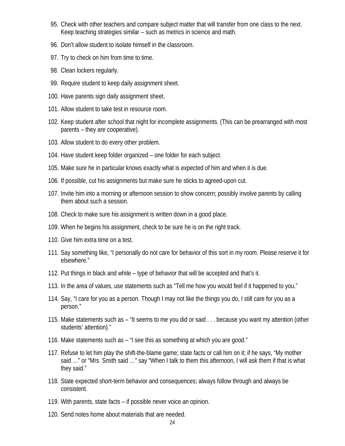- 95. Check with other teachers and compare subject matter that will transfer from one class to the next. Keep teaching strategies similar – such as metrics in science and math.
- 96. Don't allow student to isolate himself in the classroom.
- 97. Try to check on him from time to time.
- 98. Clean lockers regularly.
- 99. Require student to keep daily assignment sheet.
- 100. Have parents sign daily assignment sheet.
- 101. Allow student to take test in resource room.
- 102. Keep student after school that night for incomplete assignments. (This can be prearranged with most parents – they are cooperative).
- 103. Allow student to do every other problem.
- 104. Have student keep folder organized one folder for each subject.
- 105. Make sure he in particular knows exactly what is expected of him and when it is due.
- 106. If possible, cut his assignments but make sure he sticks to agreed-upon cut.
- 107. Invite him into a morning or afternoon session to show concern; possibly involve parents by calling them about such a session.
- 108. Check to make sure his assignment is written down in a good place.
- 109. When he begins his assignment, check to be sure he is on the right track.
- 110. Give him extra time on a test.
- 111. Say something like, "I personally do not care for behavior of this sort in my room. Please reserve it for elsewhere."
- 112. Put things in black and white type of behavior that will be accepted and that's it.
- 113. In the area of values, use statements such as "Tell me how you would feel if it happened to you."
- 114. Say, "I care for you as a person. Though I may not like the things you do, I still care for you as a person."
- 115. Make statements such as "It seems to me you did or said . . . because you want my attention (other students' attention)."
- 116. Make statements such as "I see this as something at which you are good."
- 117. Refuse to let him play the shift-the-blame game; state facts or call him on it; if he says, "My mother said …" or "Mrs. Smith said …" say "When I talk to them this afternoon, I will ask them if that is what they said."
- 118. State expected short-term behavior and consequences; always follow through and always be consistent.
- 119. With parents, state facts if possible never voice an opinion.
- 120. Send notes home about materials that are needed.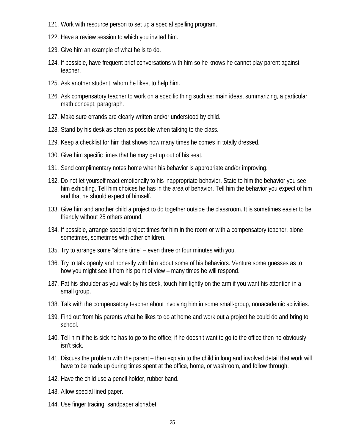- 121. Work with resource person to set up a special spelling program.
- 122. Have a review session to which you invited him.
- 123. Give him an example of what he is to do.
- 124. If possible, have frequent brief conversations with him so he knows he cannot play parent against teacher.
- 125. Ask another student, whom he likes, to help him.
- 126. Ask compensatory teacher to work on a specific thing such as: main ideas, summarizing, a particular math concept, paragraph.
- 127. Make sure errands are clearly written and/or understood by child.
- 128. Stand by his desk as often as possible when talking to the class.
- 129. Keep a checklist for him that shows how many times he comes in totally dressed.
- 130. Give him specific times that he may get up out of his seat.
- 131. Send complimentary notes home when his behavior is appropriate and/or improving.
- 132. Do not let yourself react emotionally to his inappropriate behavior. State to him the behavior you see him exhibiting. Tell him choices he has in the area of behavior. Tell him the behavior you expect of him and that he should expect of himself.
- 133. Give him and another child a project to do together outside the classroom. It is sometimes easier to be friendly without 25 others around.
- 134. If possible, arrange special project times for him in the room or with a compensatory teacher, alone sometimes, sometimes with other children.
- 135. Try to arrange some "alone time" even three or four minutes with you.
- 136. Try to talk openly and honestly with him about some of his behaviors. Venture some guesses as to how you might see it from his point of view – many times he will respond.
- 137. Pat his shoulder as you walk by his desk, touch him lightly on the arm if you want his attention in a small group.
- 138. Talk with the compensatory teacher about involving him in some small-group, nonacademic activities.
- 139. Find out from his parents what he likes to do at home and work out a project he could do and bring to school.
- 140. Tell him if he is sick he has to go to the office; if he doesn't want to go to the office then he obviously isn't sick.
- 141. Discuss the problem with the parent then explain to the child in long and involved detail that work will have to be made up during times spent at the office, home, or washroom, and follow through.
- 142. Have the child use a pencil holder, rubber band.
- 143. Allow special lined paper.
- 144. Use finger tracing, sandpaper alphabet.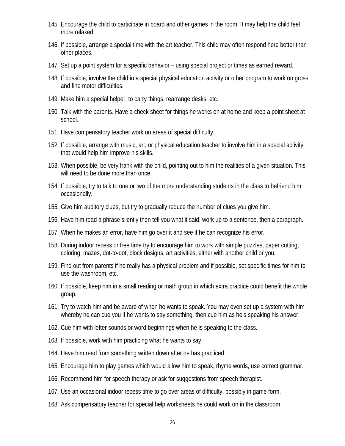- 145. Encourage the child to participate in board and other games in the room. It may help the child feel more relaxed.
- 146. If possible, arrange a special time with the art teacher. This child may often respond here better than other places.
- 147. Set up a point system for a specific behavior using special project or times as earned reward.
- 148. If possible, involve the child in a special physical education activity or other program to work on gross and fine motor difficulties.
- 149. Make him a special helper, to carry things, rearrange desks, etc.
- 150. Talk with the parents. Have a check sheet for things he works on at home and keep a point sheet at school.
- 151. Have compensatory teacher work on areas of special difficulty.
- 152. If possible, arrange with music, art, or physical education teacher to involve him in a special activity that would help him improve his skills.
- 153. When possible, be very frank with the child, pointing out to him the realities of a given situation. This will need to be done more than once.
- 154. If possible, try to talk to one or two of the more understanding students in the class to befriend him occasionally.
- 155. Give him auditory clues, but try to gradually reduce the number of clues you give him.
- 156. Have him read a phrase silently then tell you what it said, work up to a sentence, then a paragraph.
- 157. When he makes an error, have him go over it and see if he can recognize his error.
- 158. During indoor recess or free time try to encourage him to work with simple puzzles, paper cutting, coloring, mazes, dot-to-dot, block designs, art activities, either with another child or you.
- 159. Find out from parents if he really has a physical problem and if possible, set specific times for him to use the washroom, etc.
- 160. If possible, keep him in a small reading or math group in which extra practice could benefit the whole group.
- 161. Try to watch him and be aware of when he wants to speak. You may even set up a system with him whereby he can cue you if he wants to say something, then cue him as he's speaking his answer.
- 162. Cue him with letter sounds or word beginnings when he is speaking to the class.
- 163. If possible, work with him practicing what he wants to say.
- 164. Have him read from something written down after he has practiced.
- 165. Encourage him to play games which would allow him to speak, rhyme words, use correct grammar.
- 166. Recommend him for speech therapy or ask for suggestions from speech therapist.
- 167. Use an occasional indoor recess time to go over areas of difficulty, possibly in game form.
- 168. Ask compensatory teacher for special help worksheets he could work on in the classroom.